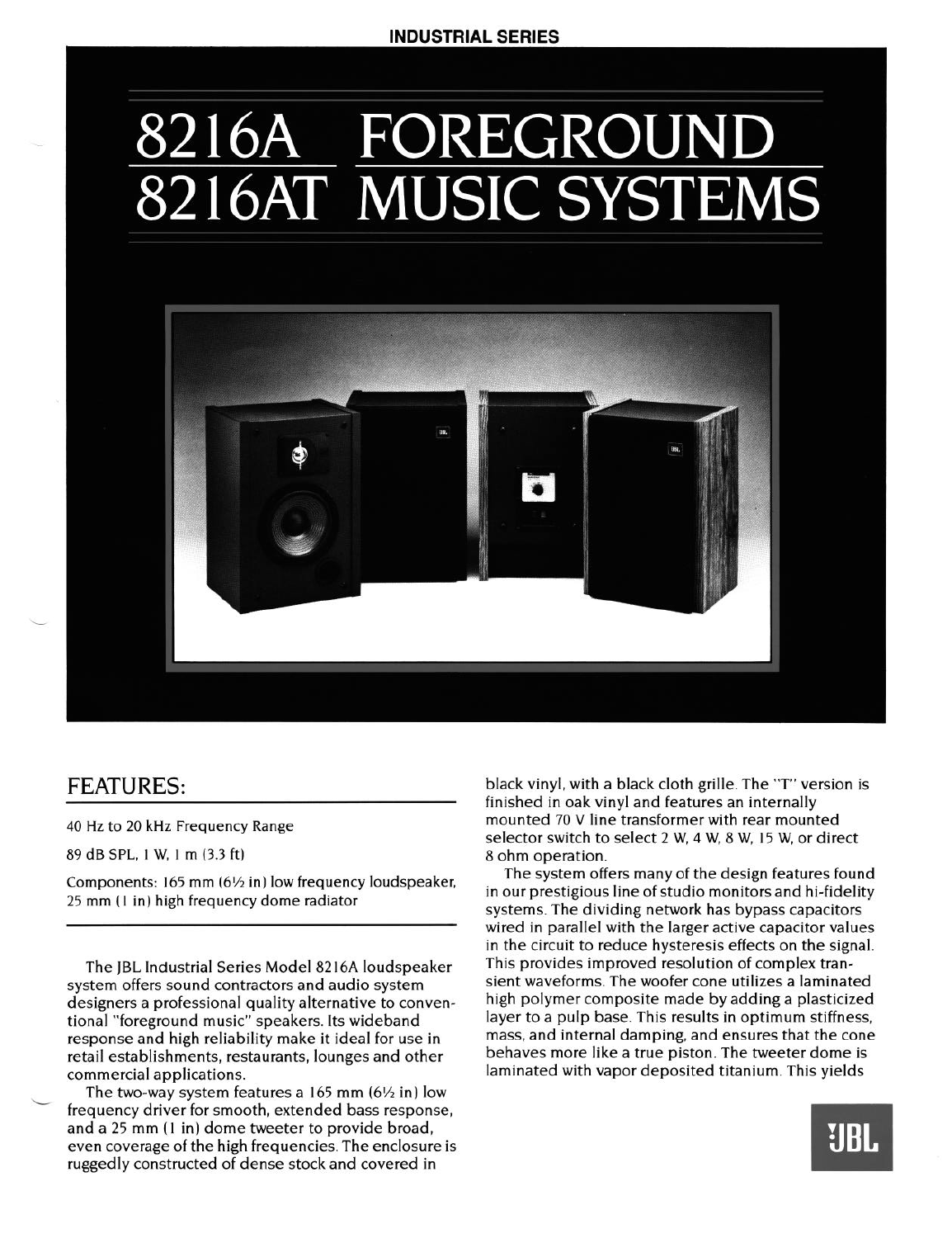# 8216A FOREGROUND 8216AT MUSIC SYSTEMS



## FEATURES:

-

40 Hz to 20 kHz Frequency Range

89 dB SPL, 1 W, 1 m (3.3 ft)

Components: 165 mm (6% in) low frequency loudspeaker, 25 mm (1 in) high frequency dome radiator

The JBL Industrial Series Model 82 16A loudspeaker system offers sound contractors and audio system designers a professional quality alternative to conventional "foreground music" speakers. Its wideband response and high reliability make it ideal for use in retail establishments, restaurants, lounges and other commercial applications.

The two-way system features a  $165$  mm  $(6\frac{1}{2}$  in) low frequency driver for smooth, extended bass response, and a 25 **mm** ( 1 in) dome tweeter to provide broad, even coverage of the high frequencies. The enclosure is ruggedly constructed of dense stock and covered in

black vinyl, with a black cloth grille. The "T" version is finished in oak vinyl and features an internally mounted 70 V line transformer with rear mounted selector switch to select 2 W, 4 W, 8 W, 15 W, or direct 8 ohm operation.

The system offers many of the design features found in our prestigious line of studio monitors and hi-fidelity systems. The dividing network has bypass capacitors wired in parallel with the larger active capacitor values in the circuit to reduce hysteresis effects on the signal. This provides improved resolution of complex transient waveforms. The woofer cone utilizes a laminated high polymer composite made by adding a plasticized layer to a pulp base. This results in optimum stiffness, mass, and internal damping, and ensures that the cone behaves more like a true piston. The tweeter dome is laminated with vapor deposited titanium. This yields